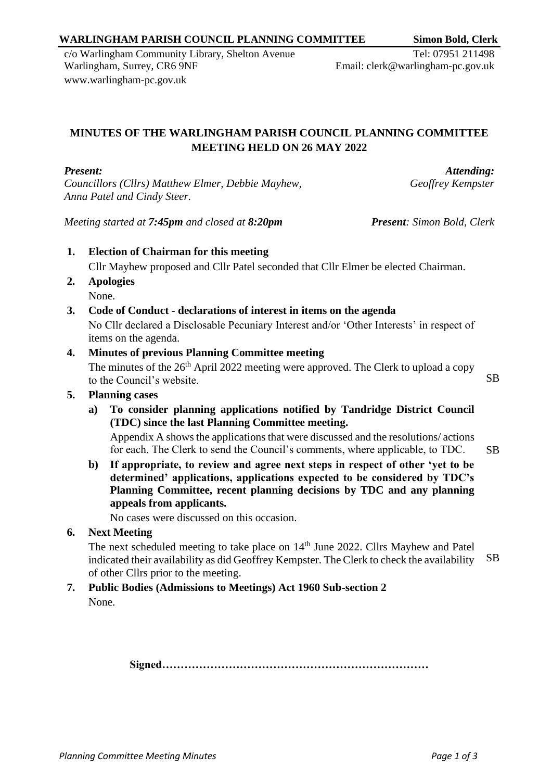#### *Planning Committee Meeting Minutes Page 1 of 3*

## **WARLINGHAM PARISH COUNCIL PLANNING COMMITTEE Simon Bold, Clerk**

c/o Warlingham Community Library, Shelton Avenue Warlingham, Surrey, CR6 9NF [www.warlingham-pc.gov.uk](http://www.warlingham-pc.gov.uk/)

# **MINUTES OF THE WARLINGHAM PARISH COUNCIL PLANNING COMMITTEE MEETING HELD ON 26 MAY 2022**

# *Present:*

*Councillors (Cllrs) Matthew Elmer, Debbie Mayhew, Anna Patel and Cindy Steer.*

*Meeting started at 7:45pm and closed at 8:20pm Present: Simon Bold, Clerk*

**1. Election of Chairman for this meeting** Cllr Mayhew proposed and Cllr Patel seconded that Cllr Elmer be elected Chairman.

- **2. Apologies** None.
- **3. Code of Conduct - declarations of interest in items on the agenda**

No Cllr declared a Disclosable Pecuniary Interest and/or 'Other Interests' in respect of items on the agenda.

#### **4. Minutes of previous Planning Committee meeting**

The minutes of the  $26<sup>th</sup>$  April 2022 meeting were approved. The Clerk to upload a copy to the Council's website. SB

#### **5. Planning cases**

**a) To consider planning applications notified by Tandridge District Council (TDC) since the last Planning Committee meeting.**

Appendix A shows the applications that were discussed and the resolutions/ actions for each. The Clerk to send the Council's comments, where applicable, to TDC. SB

**b) If appropriate, to review and agree next steps in respect of other 'yet to be determined' applications, applications expected to be considered by TDC's Planning Committee, recent planning decisions by TDC and any planning appeals from applicants.**

No cases were discussed on this occasion.

**6. Next Meeting**

The next scheduled meeting to take place on 14<sup>th</sup> June 2022. Cllrs Mayhew and Patel indicated their availability as did Geoffrey Kempster. The Clerk to check the availability of other Cllrs prior to the meeting. SB

#### **7. Public Bodies (Admissions to Meetings) Act 1960 Sub-section 2** None.

**Signed………………………………………………………………**

Tel: 07951 211498

Email: clerk@warlingham-pc.gov.uk

*Attending:*

*Geoffrey Kempster*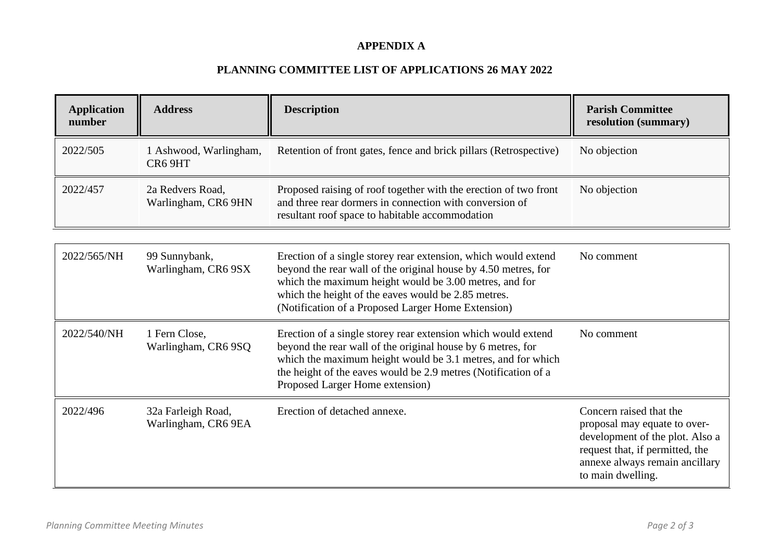### **APPENDIX A**

# **PLANNING COMMITTEE LIST OF APPLICATIONS 26 MAY 2022**

| <b>Application</b><br>number | <b>Address</b>                            | <b>Description</b>                                                                                                                                                                                                                                                                                      | <b>Parish Committee</b><br>resolution (summary)                                                                                                                                      |
|------------------------------|-------------------------------------------|---------------------------------------------------------------------------------------------------------------------------------------------------------------------------------------------------------------------------------------------------------------------------------------------------------|--------------------------------------------------------------------------------------------------------------------------------------------------------------------------------------|
| 2022/505                     | 1 Ashwood, Warlingham,<br>CR6 9HT         | Retention of front gates, fence and brick pillars (Retrospective)                                                                                                                                                                                                                                       | No objection                                                                                                                                                                         |
| 2022/457                     | 2a Redvers Road,<br>Warlingham, CR6 9HN   | Proposed raising of roof together with the erection of two front<br>and three rear dormers in connection with conversion of<br>resultant roof space to habitable accommodation                                                                                                                          | No objection                                                                                                                                                                         |
| 2022/565/NH                  | 99 Sunnybank,<br>Warlingham, CR6 9SX      | Erection of a single storey rear extension, which would extend<br>beyond the rear wall of the original house by 4.50 metres, for<br>which the maximum height would be 3.00 metres, and for<br>which the height of the eaves would be 2.85 metres.<br>(Notification of a Proposed Larger Home Extension) | No comment                                                                                                                                                                           |
| 2022/540/NH                  | 1 Fern Close,<br>Warlingham, CR6 9SQ      | Erection of a single storey rear extension which would extend<br>beyond the rear wall of the original house by 6 metres, for<br>which the maximum height would be 3.1 metres, and for which<br>the height of the eaves would be 2.9 metres (Notification of a<br>Proposed Larger Home extension)        | No comment                                                                                                                                                                           |
| 2022/496                     | 32a Farleigh Road,<br>Warlingham, CR6 9EA | Erection of detached annexe.                                                                                                                                                                                                                                                                            | Concern raised that the<br>proposal may equate to over-<br>development of the plot. Also a<br>request that, if permitted, the<br>annexe always remain ancillary<br>to main dwelling. |